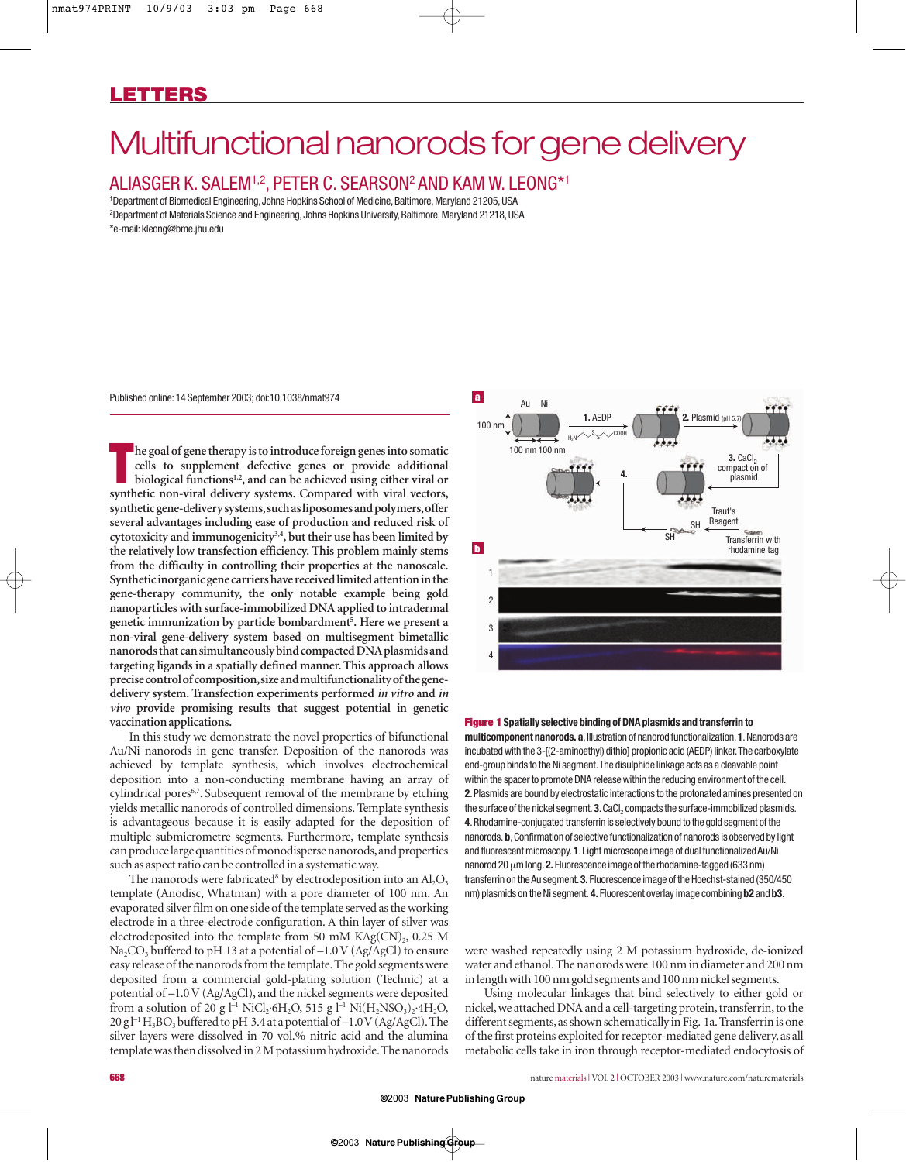# Multifunctional nanorods for gene delivery

# ALIASGER K. SALEM1,2, PETER C. SEARSON2 AND KAM W. LEONG\*1

<sup>1</sup>Department of Biomedical Engineering, Johns Hopkins School of Medicine, Baltimore, Maryland 21205, USA 2 Department of Materials Science and Engineering,Johns Hopkins University,Baltimore,Maryland 21218,USA \*e-mail:kleong@bme.jhu.edu

Published online:14 September 2003; doi:10.1038/nmat974 **a**

**The goal of gene therapy is to introduce foreign genes into somatic cells to supplement defective genes or provide additional biological functions<sup>1,2</sup>, and can be achieved using either viral or synthetic non-viral delive he goal of gene therapy is to introduce foreign genes into somatic cells to supplement defective genes or provide additional biological functions1,2, and can be achieved using either viral or synthetic gene-delivery systems,such as liposomes and polymers,offer several advantages including ease of production and reduced risk of cytotoxicity and immunogenicity3,4, but their use has been limited by the relatively low transfection efficiency. This problem mainly stems from the difficulty in controlling their properties at the nanoscale. Synthetic inorganic gene carriers have received limited attention in the gene-therapy community, the only notable example being gold nanoparticles with surface-immobilized DNA applied to intradermal genetic immunization by particle bombardment5 . Here we present a non-viral gene-delivery system based on multisegment bimetallic nanorods that can simultaneously bind compacted DNA plasmids and targeting ligands in a spatially defined manner. This approach allows precise control of composition,size and multifunctionality of the genedelivery system. Transfection experiments performed** *in vitro* **and** *in vivo* **provide promising results that suggest potential in genetic vaccination applications.**

In this study we demonstrate the novel properties of bifunctional Au/Ni nanorods in gene transfer. Deposition of the nanorods was achieved by template synthesis, which involves electrochemical deposition into a non-conducting membrane having an array of cylindrical pores<sup>6,7</sup>. Subsequent removal of the membrane by etching yields metallic nanorods of controlled dimensions. Template synthesis is advantageous because it is easily adapted for the deposition of multiple submicrometre segments. Furthermore, template synthesis can produce large quantities of monodisperse nanorods,and properties such as aspect ratio can be controlled in a systematic way.

The nanorods were fabricated<sup>8</sup> by electrodeposition into an  $\text{Al}_2\text{O}_3$ template (Anodisc, Whatman) with a pore diameter of 100 nm. An evaporated silver film on one side of the template served as the working electrode in a three-electrode configuration. A thin layer of silver was electrodeposited into the template from 50 mM  $KAg(CN)_{2}$ , 0.25 M Na<sub>2</sub>CO<sub>3</sub> buffered to pH 13 at a potential of  $-1.0$  V (Ag/AgCl) to ensure easy release of the nanorods from the template.The gold segments were deposited from a commercial gold-plating solution (Technic) at a potential of –1.0 V (Ag/AgCl), and the nickel segments were deposited from a solution of 20 g l<sup>-1</sup> NiCl<sub>2</sub>·6H<sub>2</sub>O, 515 g l<sup>-1</sup> Ni(H<sub>2</sub>NSO<sub>3</sub>)<sub>2</sub>·4H<sub>2</sub>O,  $20 g l^{-1}H_3BO_3$  buffered to pH 3.4 at a potential of  $-1.0V$  (Ag/AgCl). The silver layers were dissolved in 70 vol.% nitric acid and the alumina template was then dissolved in 2 M potassium hydroxide.The nanorods



## **Figure 1 Spatially selective binding of DNA plasmids and transferrin to**

**multicomponent nanorods. a**,Illustration of nanorod functionalization.**1**.Nanorods are incubated with the 3-[(2-aminoethyl) dithio] propionic acid (AEDP) linker.The carboxylate end-group binds to the Ni segment.The disulphide linkage acts as a cleavable point within the spacer to promote DNA release within the reducing environment of the cell. **2**.Plasmids are bound by electrostatic interactions to the protonated amines presented on the surface of the nickel segment. 3. CaCl<sub>2</sub> compacts the surface-immobilized plasmids. **4**.Rhodamine-conjugated transferrin is selectively bound to the gold segment of the nanorods. **b**,Confirmation of selective functionalization of nanorods is observed by light and fluorescent microscopy. **1**.Light microscope image of dual functionalized Au/Ni nanorod 20 µm long.**2.** Fluorescence image of the rhodamine-tagged (633 nm) transferrin on the Au segment.**3.** Fluorescence image of the Hoechst-stained (350/450 nm) plasmids on the Ni segment. **4.** Fluorescent overlay image combining **b2** and **b3**.

were washed repeatedly using 2 M potassium hydroxide, de-ionized water and ethanol.The nanorods were 100 nm in diameter and 200 nm in length with 100 nm gold segments and 100 nm nickel segments.

Using molecular linkages that bind selectively to either gold or nickel, we attached DNA and a cell-targeting protein, transferrin, to the different segments, as shown schematically in Fig. 1a. Transferrin is one of the first proteins exploited for receptor-mediated gene delivery, as all metabolic cells take in iron through receptor-mediated endocytosis of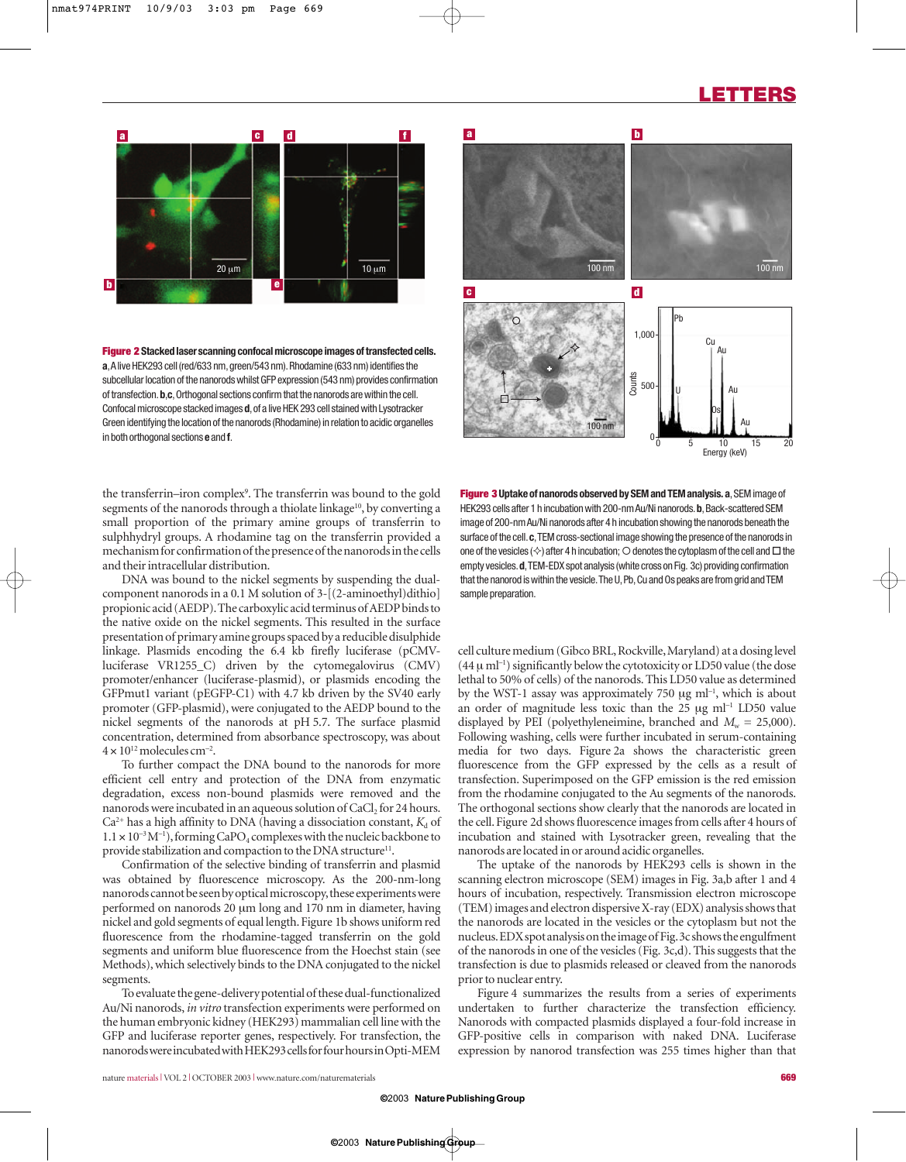# **LETTERS**



**Figure 2 Stacked laser scanning confocal microscope images of transfected cells. a**,A live HEK293 cell (red/633 nm,green/543 nm).Rhodamine (633 nm) identifies the subcellular location of the nanorods whilst GFP expression (543 nm) provides confirmation of transfection.**b**,**c**,Orthogonal sections confirm that the nanorods are within the cell. Confocal microscope stacked images **d**, of a live HEK 293 cell stained with Lysotracker Green identifying the location of the nanorods (Rhodamine) in relation to acidic organelles in both orthogonal sections **e** and **f**.



**a b**

the transferrin–iron complex<sup>9</sup>. The transferrin was bound to the gold segments of the nanorods through a thiolate linkage<sup>10</sup>, by converting a small proportion of the primary amine groups of transferrin to sulphhydryl groups. A rhodamine tag on the transferrin provided a mechanism for confirmation of the presence of the nanorods in the cells and their intracellular distribution.

DNA was bound to the nickel segments by suspending the dualcomponent nanorods in a 0.1 M solution of 3-[(2-aminoethyl)dithio] propionic acid (AEDP).The carboxylic acid terminus of AEDP binds to the native oxide on the nickel segments. This resulted in the surface presentation of primary amine groups spaced by a reducible disulphide linkage. Plasmids encoding the 6.4 kb firefly luciferase (pCMVluciferase VR1255\_C) driven by the cytomegalovirus (CMV) promoter/enhancer (luciferase-plasmid), or plasmids encoding the GFPmut1 variant (pEGFP-C1) with 4.7 kb driven by the SV40 early promoter (GFP-plasmid), were conjugated to the AEDP bound to the nickel segments of the nanorods at pH 5.7. The surface plasmid concentration, determined from absorbance spectroscopy, was about  $4 \times 10^{12}$  molecules cm<sup>-2</sup>.

To further compact the DNA bound to the nanorods for more efficient cell entry and protection of the DNA from enzymatic degradation, excess non-bound plasmids were removed and the nanorods were incubated in an aqueous solution of CaCl<sub>2</sub> for 24 hours.  $Ca<sup>2+</sup>$  has a high affinity to DNA (having a dissociation constant,  $K<sub>d</sub>$  of  $1.1 \times 10^{-3}$  M<sup>-1</sup>), forming CaPO<sub>4</sub> complexes with the nucleic backbone to provide stabilization and compaction to the DNA structure<sup>11</sup>.

Confirmation of the selective binding of transferrin and plasmid was obtained by fluorescence microscopy. As the 200-nm-long nanorods cannot be seen by optical microscopy,these experiments were performed on nanorods 20 µm long and 170 nm in diameter, having nickel and gold segments of equal length. Figure 1b shows uniform red fluorescence from the rhodamine-tagged transferrin on the gold segments and uniform blue fluorescence from the Hoechst stain (see Methods), which selectively binds to the DNA conjugated to the nickel segments.

To evaluate the gene-delivery potential of these dual-functionalized Au/Ni nanorods, *in vitro* transfection experiments were performed on the human embryonic kidney (HEK293) mammalian cell line with the GFP and luciferase reporter genes, respectively. For transfection, the nanorods were incubated with HEK293 cells for four hours in Opti-MEM

**Figure 3** Uptake of nanorods observed by SEM and TEM analysis. a, SEM image of HEK293 cells after 1 h incubation with 200-nm Au/Ni nanorods. b, Back-scattered SEM image of 200-nm Au/Ni nanorods after 4 h incubation showing the nanorods beneath the surface of the cell.**c**,TEM cross-sectional image showing the presence of the nanorods in one of the vesicles ( $\diamondsuit$ ) after 4 h incubation;  $\bigcirc$  denotes the cytoplasm of the cell and  $\Box$  the empty vesicles.**d**,TEM-EDX spot analysis (white cross on Fig. 3c) providing confirmation that the nanorod is within the vesicle.The U,Pb,Cu and Os peaks are from grid and TEM sample preparation.

cell culture medium (Gibco BRL,Rockville,Maryland) at a dosing level  $(44 \mu \text{ ml}^{-1})$  significantly below the cytotoxicity or LD50 value (the dose lethal to 50% of cells) of the nanorods. This LD50 value as determined by the WST-1 assay was approximately 750  $\mu$ g ml<sup>-1</sup>, which is about an order of magnitude less toxic than the  $25 \text{ µg m}^{-1}$  LD50 value displayed by PEI (polyethyleneimine, branched and  $M_w = 25,000$ ). Following washing, cells were further incubated in serum-containing media for two days. Figure 2a shows the characteristic green fluorescence from the GFP expressed by the cells as a result of transfection. Superimposed on the GFP emission is the red emission from the rhodamine conjugated to the Au segments of the nanorods. The orthogonal sections show clearly that the nanorods are located in the cell. Figure 2d shows fluorescence images from cells after 4 hours of incubation and stained with Lysotracker green, revealing that the nanorods are located in or around acidic organelles.

The uptake of the nanorods by HEK293 cells is shown in the scanning electron microscope (SEM) images in Fig. 3a,b after 1 and 4 hours of incubation, respectively. Transmission electron microscope (TEM) images and electron dispersive X-ray (EDX) analysis shows that the nanorods are located in the vesicles or the cytoplasm but not the nucleus.EDX spot analysis on the image of Fig.3c shows the engulfment of the nanorods in one of the vesicles (Fig. 3c,d). This suggests that the transfection is due to plasmids released or cleaved from the nanorods prior to nuclear entry.

Figure 4 summarizes the results from a series of experiments undertaken to further characterize the transfection efficiency. Nanorods with compacted plasmids displayed a four-fold increase in GFP-positive cells in comparison with naked DNA. Luciferase expression by nanorod transfection was 255 times higher than that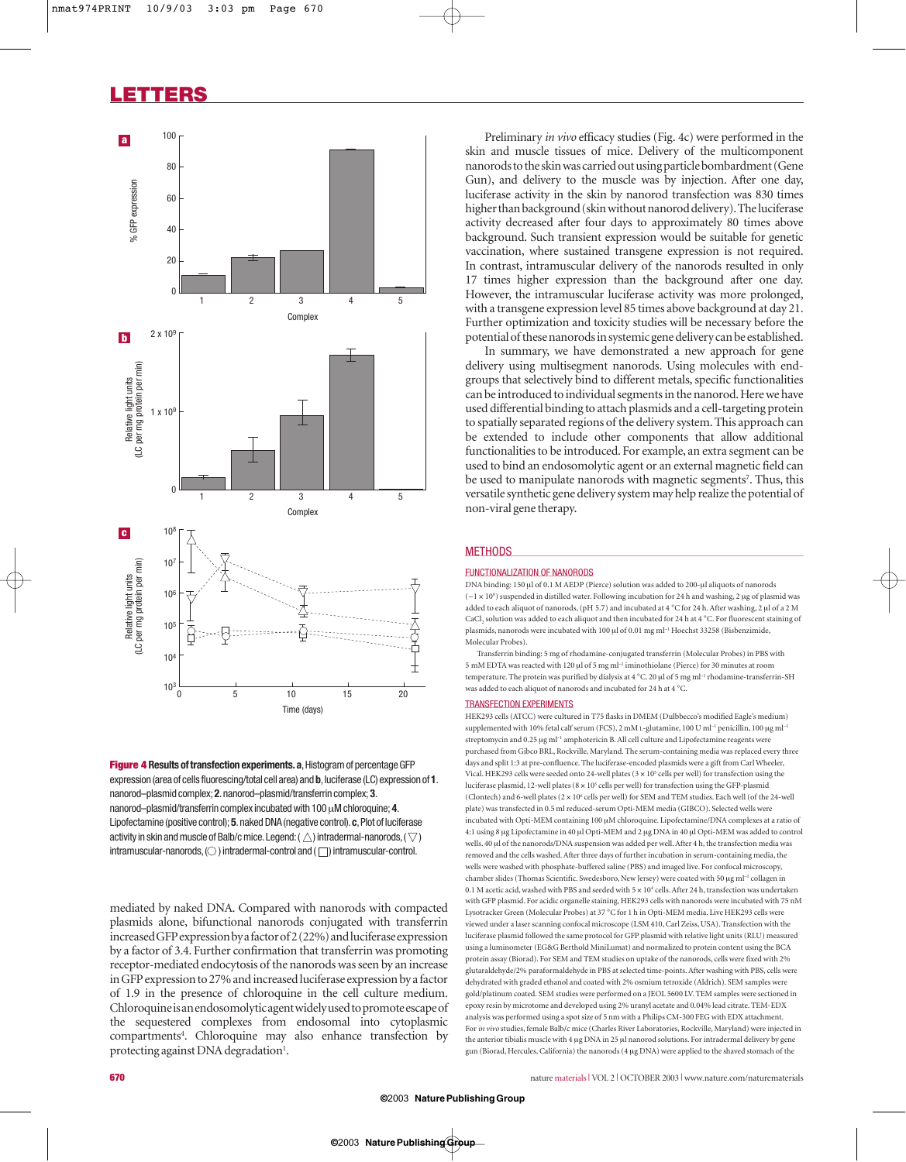# **LETTERS**



**Figure 4 Results of transfection experiments. a, Histogram of percentage GFP** expression (area of cells fluorescing/total cell area) and **b**, luciferase (LC) expression of 1. nanorod–plasmid complex; **2**.nanorod–plasmid/transferrin complex; **3**. nanorod–plasmid/transferrin complex incubated with 100µM chloroquine; **4**. Lipofectamine (positive control); **5**.naked DNA (negative control).**c**,Plot of luciferase activity in skin and muscle of Balb/c mice. Legend: ( $\triangle$ ) intradermal-nanorods, ( $\triangledown$ )  $intramuscular-nanorods$ ,  $\bigcirc$  ) intradermal-control and ( $\bigcirc$ ) intramuscular-control.

mediated by naked DNA. Compared with nanorods with compacted plasmids alone, bifunctional nanorods conjugated with transferrin increased GFP expression by a factor of2 (22%) and luciferase expression by a factor of 3.4. Further confirmation that transferrin was promoting receptor-mediated endocytosis of the nanorods was seen by an increase in GFP expression to 27% and increased luciferase expression by a factor of 1.9 in the presence of chloroquine in the cell culture medium. Chloroquine is an endosomolytic agent widely used to promote escape of the sequestered complexes from endosomal into cytoplasmic compartments<sup>4</sup>. Chloroquine may also enhance transfection by protecting against DNA degradation<sup>1</sup>.

Preliminary *in vivo* efficacy studies (Fig. 4c) were performed in the skin and muscle tissues of mice. Delivery of the multicomponent nanorods to the skin was carried out using particle bombardment (Gene Gun), and delivery to the muscle was by injection. After one day, luciferase activity in the skin by nanorod transfection was 830 times higher than background (skin without nanorod delivery).The luciferase activity decreased after four days to approximately 80 times above background. Such transient expression would be suitable for genetic vaccination, where sustained transgene expression is not required. In contrast, intramuscular delivery of the nanorods resulted in only 17 times higher expression than the background after one day. However, the intramuscular luciferase activity was more prolonged, with a transgene expression level 85 times above background at day 21. Further optimization and toxicity studies will be necessary before the potential of these nanorods in systemic gene delivery can be established.

In summary, we have demonstrated a new approach for gene delivery using multisegment nanorods. Using molecules with endgroups that selectively bind to different metals, specific functionalities can be introduced to individual segments in the nanorod.Here we have used differential binding to attach plasmids and a cell-targeting protein to spatially separated regions of the delivery system. This approach can be extended to include other components that allow additional functionalities to be introduced. For example, an extra segment can be used to bind an endosomolytic agent or an external magnetic field can be used to manipulate nanorods with magnetic segments<sup>7</sup>. Thus, this versatile synthetic gene delivery system may help realize the potential of non-viral gene therapy.

## **METHODS**

## FUNCTIONALIZATION OF NANORODS

DNA binding: 150 µl of 0.1 M AEDP (Pierce) solution was added to 200-µl aliquots of nanorods  $(-1 \times 10^6)$  suspended in distilled water. Following incubation for 24 h and washing, 2 µg of plasmid was added to each aliquot of nanorods, (pH 5.7) and incubated at 4 °C for 24 h. After washing, 2 µl of a 2 M CaCl2 solution was added to each aliquot and then incubated for 24 h at 4 °C. For fluorescent staining of plasmids, nanorods were incubated with 100 µl of 0.01 mg ml<sup>-1</sup> Hoechst 33258 (Bisbenzimide, Molecular Probes).

Transferrin binding: 5 mg of rhodamine-conjugated transferrin (Molecular Probes) in PBS with 5 mM EDTA was reacted with 120 µl of 5 mg ml–1 iminothiolane (Pierce) for 30 minutes at room temperature. The protein was purified by dialysis at 4 °C. 20 µl of 5 mg ml<sup>-1</sup> rhodamine-transferrin-SH was added to each aliquot of nanorods and incubated for 24 h at 4 °C.

## TRANSFECTION EXPERIMENTS

HEK293 cells (ATCC) were cultured in T75 flasks in DMEM (Dulbbecco's modified Eagle's medium) supplemented with 10% fetal calf serum (FCS), 2 mM L-glutamine, 100 U ml<sup>-1</sup> penicillin, 100 µg ml<sup>-1</sup> streptomycin and 0.25 µg ml<sup>-1</sup> amphotericin B. All cell culture and Lipofectamine reagents were purchased from Gibco BRL, Rockville, Maryland. The serum-containing media was replaced every three days and split 1:3 at pre-confluence. The luciferase-encoded plasmids were a gift from Carl Wheeler, Vical. HEK293 cells were seeded onto 24-well plates  $(3 \times 10^5 \text{ cells per well})$  for transfection using the luciferase plasmid, 12-well plates  $(8 \times 10^5 \text{ cells per well})$  for transfection using the GFP-plasmid (Clontech) and 6-well plates (2 × 106 cells per well) for SEM and TEM studies. Each well (of the 24-well plate) was transfected in 0.5 ml reduced-serum Opti-MEM media (GIBCO). Selected wells were incubated with Opti-MEM containing 100 µM chloroquine. Lipofectamine/DNA complexes at a ratio of 4:1 using 8 µg Lipofectamine in 40 µl Opti-MEM and 2 µg DNA in 40 µl Opti-MEM was added to control wells. 40 ul of the nanorods/DNA suspension was added per well. After 4 h, the transfection media was removed and the cells washed. After three days of further incubation in serum-containing media, the wells were washed with phosphate-buffered saline (PBS) and imaged live. For confocal microscopy, chamber slides (Thomas Scientific. Swedesboro, New Jersey) were coated with 50 µg ml<sup>-1</sup> collagen in 0.1 M acetic acid, washed with PBS and seeded with  $5 \times 10^4$  cells. After 24 h, transfection was undertaken with GFP plasmid. For acidic organelle staining, HEK293 cells with nanorods were incubated with 75 nM Lysotracker Green (Molecular Probes) at 37 °C for 1 h in Opti-MEM media. Live HEK293 cells were viewed under a laser scanning confocal microscope (LSM 410, Carl Zeiss, USA). Transfection with the luciferase plasmid followed the same protocol for GFP plasmid with relative light units (RLU) measured using a luminometer (EG&G Berthold MiniLumat) and normalized to protein content using the BCA protein assay (Biorad). For SEM and TEM studies on uptake of the nanorods, cells were fixed with 2% glutaraldehyde/2% paraformaldehyde in PBS at selected time-points. After washing with PBS, cells were dehydrated with graded ethanol and coated with 2% osmium tetroxide (Aldrich). SEM samples were gold/platinum coated. SEM studies were performed on a JEOL 5600 LV. TEM samples were sectioned in epoxy resin by microtome and developed using 2% uranyl acetate and 0.04% lead citrate. TEM-EDX analysis was performed using a spot size of 5 nm with a Philips CM-300 FEG with EDX attachment. For *in vivo* studies, female Balb/c mice (Charles River Laboratories, Rockville, Maryland) were injected in the anterior tibialis muscle with 4 µg DNA in 25 µl nanorod solutions. For intradermal delivery by gene gun (Biorad, Hercules, California) the nanorods (4 µg DNA) were applied to the shaved stomach of the